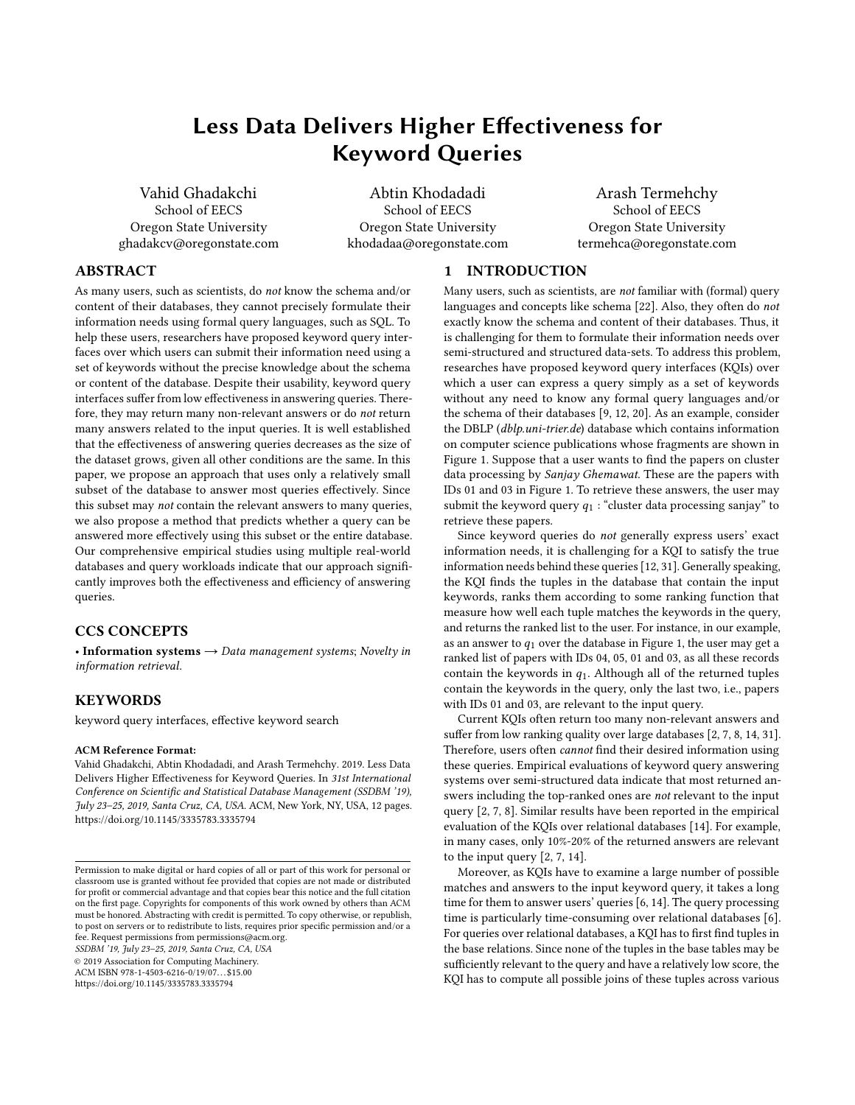# Less Data Delivers Higher Effectiveness for Keyword Queries

Vahid Ghadakchi School of EECS Oregon State University ghadakcv@oregonstate.com

Abtin Khodadadi School of EECS Oregon State University khodadaa@oregonstate.com

Arash Termehchy School of EECS Oregon State University termehca@oregonstate.com

#### ABSTRACT

As many users, such as scientists, do not know the schema and/or content of their databases, they cannot precisely formulate their information needs using formal query languages, such as SQL. To help these users, researchers have proposed keyword query interfaces over which users can submit their information need using a set of keywords without the precise knowledge about the schema or content of the database. Despite their usability, keyword query interfaces suffer from low effectiveness in answering queries. Therefore, they may return many non-relevant answers or do not return many answers related to the input queries. It is well established that the effectiveness of answering queries decreases as the size of the dataset grows, given all other conditions are the same. In this paper, we propose an approach that uses only a relatively small subset of the database to answer most queries effectively. Since this subset may not contain the relevant answers to many queries, we also propose a method that predicts whether a query can be answered more effectively using this subset or the entire database. Our comprehensive empirical studies using multiple real-world databases and query workloads indicate that our approach significantly improves both the effectiveness and efficiency of answering queries.

## CCS CONCEPTS

• Information systems  $\rightarrow$  Data management systems; Novelty in information retrieval.

## **KEYWORDS**

keyword query interfaces, effective keyword search

#### ACM Reference Format:

Vahid Ghadakchi, Abtin Khodadadi, and Arash Termehchy. 2019. Less Data Delivers Higher Effectiveness for Keyword Queries. In 31st International Conference on Scientific and Statistical Database Management (SSDBM '19), July 23–25, 2019, Santa Cruz, CA, USA. ACM, New York, NY, USA, [12](#page-11-0) pages. <https://doi.org/10.1145/3335783.3335794>

SSDBM '19, July 23–25, 2019, Santa Cruz, CA, USA

© 2019 Association for Computing Machinery. ACM ISBN 978-1-4503-6216-0/19/07. . . \$15.00

<https://doi.org/10.1145/3335783.3335794>

#### <span id="page-0-0"></span>1 INTRODUCTION

Many users, such as scientists, are not familiar with (formal) query languages and concepts like schema [\[22\]](#page-11-1). Also, they often do not exactly know the schema and content of their databases. Thus, it is challenging for them to formulate their information needs over semi-structured and structured data-sets. To address this problem, researches have proposed keyword query interfaces (KQIs) over which a user can express a query simply as a set of keywords without any need to know any formal query languages and/or the schema of their databases [\[9,](#page-11-2) [12,](#page-11-3) [20\]](#page-11-4). As an example, consider the DBLP (dblp.uni-trier.de) database which contains information on computer science publications whose fragments are shown in Figure [1.](#page-1-0) Suppose that a user wants to find the papers on cluster data processing by Sanjay Ghemawat. These are the papers with IDs 01 and 03 in Figure [1.](#page-1-0) To retrieve these answers, the user may submit the keyword query  $q_1$ : "cluster data processing sanjay" to retrieve these papers.

Since keyword queries do not generally express users' exact information needs, it is challenging for a KQI to satisfy the true information needs behind these queries [\[12,](#page-11-3) [31\]](#page-11-5). Generally speaking, the KQI finds the tuples in the database that contain the input keywords, ranks them according to some ranking function that measure how well each tuple matches the keywords in the query, and returns the ranked list to the user. For instance, in our example, as an answer to  $q_1$  over the database in Figure [1,](#page-1-0) the user may get a ranked list of papers with IDs 04, 05, 01 and 03, as all these records contain the keywords in  $q_1$ . Although all of the returned tuples contain the keywords in the query, only the last two, i.e., papers with IDs 01 and 03, are relevant to the input query.

Current KQIs often return too many non-relevant answers and suffer from low ranking quality over large databases [\[2,](#page-11-6) [7,](#page-11-7) [8,](#page-11-8) [14,](#page-11-9) [31\]](#page-11-5). Therefore, users often cannot find their desired information using these queries. Empirical evaluations of keyword query answering systems over semi-structured data indicate that most returned answers including the top-ranked ones are not relevant to the input query [\[2,](#page-11-6) [7,](#page-11-7) [8\]](#page-11-8). Similar results have been reported in the empirical evaluation of the KQIs over relational databases [\[14\]](#page-11-9). For example, in many cases, only 10%-20% of the returned answers are relevant to the input query [\[2,](#page-11-6) [7,](#page-11-7) [14\]](#page-11-9).

Moreover, as KQIs have to examine a large number of possible matches and answers to the input keyword query, it takes a long time for them to answer users' queries [\[6,](#page-11-10) [14\]](#page-11-9). The query processing time is particularly time-consuming over relational databases [\[6\]](#page-11-10). For queries over relational databases, a KQI has to first find tuples in the base relations. Since none of the tuples in the base tables may be sufficiently relevant to the query and have a relatively low score, the KQI has to compute all possible joins of these tuples across various

Permission to make digital or hard copies of all or part of this work for personal or classroom use is granted without fee provided that copies are not made or distributed for profit or commercial advantage and that copies bear this notice and the full citation on the first page. Copyrights for components of this work owned by others than ACM must be honored. Abstracting with credit is permitted. To copy otherwise, or republish, to post on servers or to redistribute to lists, requires prior specific permission and/or a fee. Request permissions from permissions@acm.org.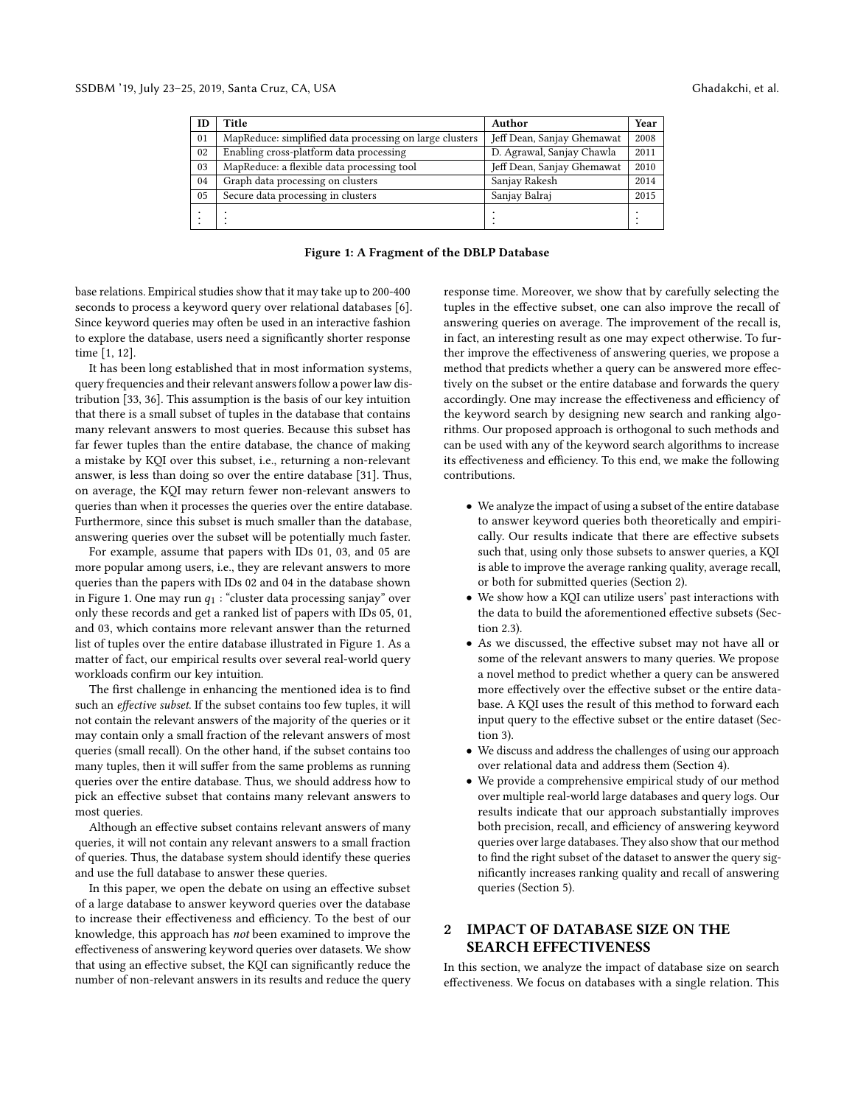<span id="page-1-0"></span>

| ID | Title                                                   | Author                     | Year |
|----|---------------------------------------------------------|----------------------------|------|
| 01 | MapReduce: simplified data processing on large clusters | Jeff Dean, Sanjay Ghemawat | 2008 |
| 02 | Enabling cross-platform data processing                 | D. Agrawal, Sanjay Chawla  | 2011 |
| 03 | MapReduce: a flexible data processing tool              | Jeff Dean, Sanjay Ghemawat | 2010 |
| 04 | Graph data processing on clusters                       | Sanjay Rakesh              | 2014 |
| 05 | Secure data processing in clusters                      | Sanjay Balraj              | 2015 |
| ٠  |                                                         |                            |      |
|    |                                                         |                            |      |

|  |  | Figure 1: A Fragment of the DBLP Database |  |  |  |
|--|--|-------------------------------------------|--|--|--|
|--|--|-------------------------------------------|--|--|--|

base relations. Empirical studies show that it may take up to 200-400 seconds to process a keyword query over relational databases [\[6\]](#page-11-10). Since keyword queries may often be used in an interactive fashion to explore the database, users need a significantly shorter response time [\[1,](#page-11-11) [12\]](#page-11-3).

It has been long established that in most information systems, query frequencies and their relevant answers follow a power law distribution [\[33,](#page-11-12) [36\]](#page-11-13). This assumption is the basis of our key intuition that there is a small subset of tuples in the database that contains many relevant answers to most queries. Because this subset has far fewer tuples than the entire database, the chance of making a mistake by KQI over this subset, i.e., returning a non-relevant answer, is less than doing so over the entire database [\[31\]](#page-11-5). Thus, on average, the KQI may return fewer non-relevant answers to queries than when it processes the queries over the entire database. Furthermore, since this subset is much smaller than the database, answering queries over the subset will be potentially much faster.

For example, assume that papers with IDs 01, 03, and 05 are more popular among users, i.e., they are relevant answers to more queries than the papers with IDs 02 and 04 in the database shown in Figure [1.](#page-1-0) One may run  $q_1$ : "cluster data processing sanjay" over only these records and get a ranked list of papers with IDs 05, 01, and 03, which contains more relevant answer than the returned list of tuples over the entire database illustrated in Figure [1.](#page-1-0) As a matter of fact, our empirical results over several real-world query workloads confirm our key intuition.

The first challenge in enhancing the mentioned idea is to find such an effective subset. If the subset contains too few tuples, it will not contain the relevant answers of the majority of the queries or it may contain only a small fraction of the relevant answers of most queries (small recall). On the other hand, if the subset contains too many tuples, then it will suffer from the same problems as running queries over the entire database. Thus, we should address how to pick an effective subset that contains many relevant answers to most queries.

Although an effective subset contains relevant answers of many queries, it will not contain any relevant answers to a small fraction of queries. Thus, the database system should identify these queries and use the full database to answer these queries.

In this paper, we open the debate on using an effective subset of a large database to answer keyword queries over the database to increase their effectiveness and efficiency. To the best of our knowledge, this approach has not been examined to improve the effectiveness of answering keyword queries over datasets. We show that using an effective subset, the KQI can significantly reduce the number of non-relevant answers in its results and reduce the query response time. Moreover, we show that by carefully selecting the tuples in the effective subset, one can also improve the recall of answering queries on average. The improvement of the recall is, in fact, an interesting result as one may expect otherwise. To further improve the effectiveness of answering queries, we propose a method that predicts whether a query can be answered more effectively on the subset or the entire database and forwards the query accordingly. One may increase the effectiveness and efficiency of the keyword search by designing new search and ranking algorithms. Our proposed approach is orthogonal to such methods and can be used with any of the keyword search algorithms to increase its effectiveness and efficiency. To this end, we make the following contributions.

- We analyze the impact of using a subset of the entire database to answer keyword queries both theoretically and empirically. Our results indicate that there are effective subsets such that, using only those subsets to answer queries, a KQI is able to improve the average ranking quality, average recall, or both for submitted queries (Section [2\)](#page-1-1).
- We show how a KQI can utilize users' past interactions with the data to build the aforementioned effective subsets (Section [2.3\)](#page-5-0).
- As we discussed, the effective subset may not have all or some of the relevant answers to many queries. We propose a novel method to predict whether a query can be answered more effectively over the effective subset or the entire database. A KQI uses the result of this method to forward each input query to the effective subset or the entire dataset (Section [3\)](#page-5-1).
- We discuss and address the challenges of using our approach over relational data and address them (Section [4\)](#page-7-0).
- We provide a comprehensive empirical study of our method over multiple real-world large databases and query logs. Our results indicate that our approach substantially improves both precision, recall, and efficiency of answering keyword queries over large databases. They also show that our method to find the right subset of the dataset to answer the query significantly increases ranking quality and recall of answering queries (Section [5\)](#page-8-0).

# <span id="page-1-1"></span>2 IMPACT OF DATABASE SIZE ON THE SEARCH EFFECTIVENESS

In this section, we analyze the impact of database size on search effectiveness. We focus on databases with a single relation. This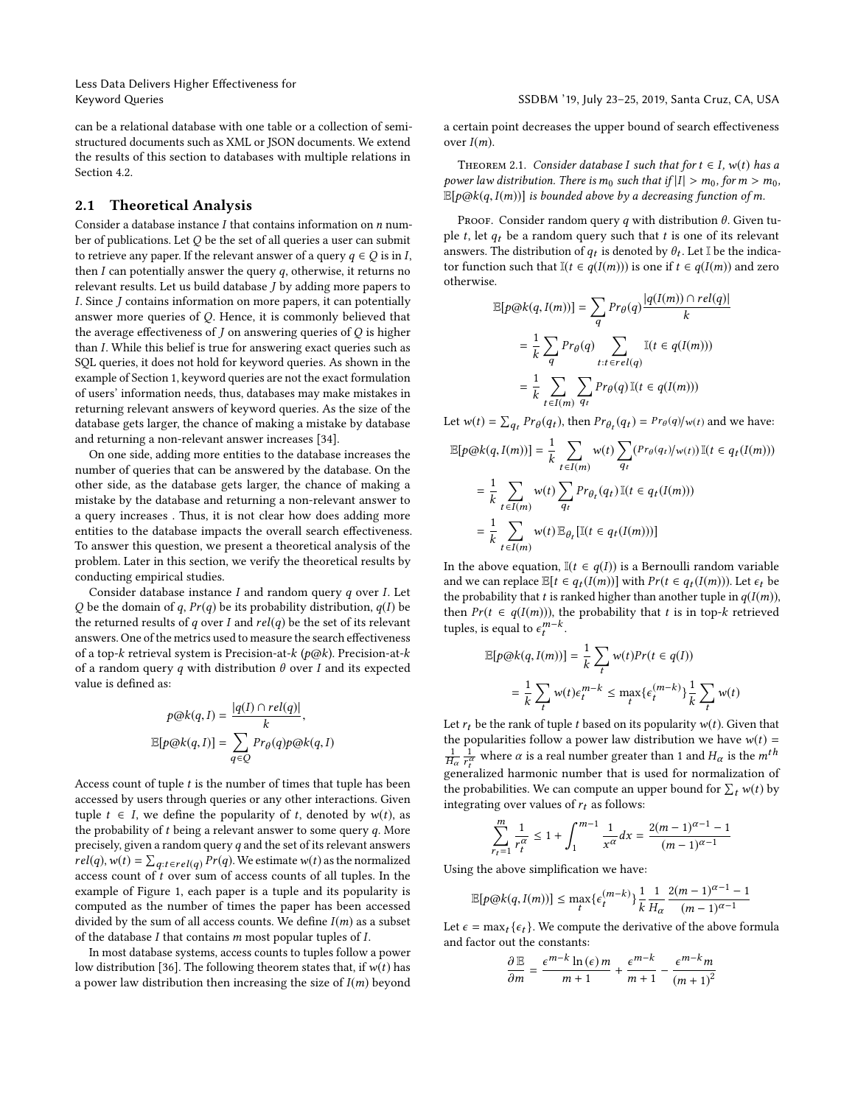Less Data Delivers Higher Effectiveness for Keyword Queries SSDBM '19, July 23-25, 2019, Santa Cruz, CA, USA

can be a relational database with one table or a collection of semistructured documents such as XML or JSON documents. We extend the results of this section to databases with multiple relations in Section [4.2.](#page-7-1)

#### <span id="page-2-1"></span>2.1 Theoretical Analysis

Consider a database instance  $I$  that contains information on  $n$  number of publications. Let Q be the set of all queries a user can submit to retrieve any paper. If the relevant answer of a query  $q \in Q$  is in I, then  $I$  can potentially answer the query  $q$ , otherwise, it returns no relevant results. Let us build database J by adding more papers to I. Since J contains information on more papers, it can potentially answer more queries of Q. Hence, it is commonly believed that the average effectiveness of  $J$  on answering queries of  $O$  is higher than I. While this belief is true for answering exact queries such as SQL queries, it does not hold for keyword queries. As shown in the example of Section [1,](#page-0-0) keyword queries are not the exact formulation of users' information needs, thus, databases may make mistakes in returning relevant answers of keyword queries. As the size of the database gets larger, the chance of making a mistake by database and returning a non-relevant answer increases [\[34\]](#page-11-14).

On one side, adding more entities to the database increases the number of queries that can be answered by the database. On the other side, as the database gets larger, the chance of making a mistake by the database and returning a non-relevant answer to a query increases . Thus, it is not clear how does adding more entities to the database impacts the overall search effectiveness. To answer this question, we present a theoretical analysis of the problem. Later in this section, we verify the theoretical results by conducting empirical studies.

Consider database instance  $I$  and random query  $q$  over  $I$ . Let Q be the domain of q,  $Pr(q)$  be its probability distribution,  $q(I)$  be the returned results of q over I and  $rel(q)$  be the set of its relevant answers. One of the metrics used to measure the search effectiveness of a top-k retrieval system is Precision-at-k ( $p@k$ ). Precision-at-k of a random query q with distribution  $\theta$  over I and its expected value is defined as:

$$
p@k(q, I) = \frac{|q(I) \cap rel(q)|}{k},
$$

$$
\mathbb{E}[p@k(q, I)] = \sum_{q \in Q} Pr_{\theta}(q)p@k(q, I)
$$

Access count of tuple  $t$  is the number of times that tuple has been accessed by users through queries or any other interactions. Given tuple  $t \in I$ , we define the popularity of t, denoted by  $w(t)$ , as the probability of  $t$  being a relevant answer to some query  $q$ . More precisely, given a random query  $q$  and the set of its relevant answers  $rel(q)$ ,  $w(t) = \sum_{q:t \in rel(q)} Pr(q)$ . We estimate  $w(t)$  as the normalized access count of t over sum of access counts of all tunles. In the access count of  $t$  over sum of access counts of all tuples. In the example of Figure [1,](#page-1-0) each paper is a tuple and its popularity is computed as the number of times the paper has been accessed divided by the sum of all access counts. We define  $I(m)$  as a subset of the database  $I$  that contains  $m$  most popular tuples of  $I$ .

In most database systems, access counts to tuples follow a power low distribution [\[36\]](#page-11-13). The following theorem states that, if  $w(t)$  has a power law distribution then increasing the size of  $I(m)$  beyond a certain point decreases the upper bound of search effectiveness over  $I(m)$ .

<span id="page-2-0"></span>THEOREM 2.1. Consider database I such that for  $t \in I$ ,  $w(t)$  has a power law distribution. There is  $m_0$  such that if  $|I| > m_0$ , for  $m > m_0$ ,  $\mathbb{E}[p\omega k(q, I(m))]$  is bounded above by a decreasing function of m.

PROOF. Consider random query q with distribution  $\theta$ . Given tuple  $t$ , let  $q_t$  be a random query such that  $t$  is one of its relevant answers. The distribution of  $q_t$  is denoted by  $\theta_t$ . Let I be the indica-<br>tor function such that  $\mathbb{I}(t \in q(I(m)))$  is one if  $t \in q(I(m))$  and zero tor function such that  $\mathbb{I}(t \in q(I(m)))$  is one if  $t \in q(I(m))$  and zero otherwise.

$$
\mathbb{E}[p\omega k(q, I(m))] = \sum_{q} Pr_{\theta}(q) \frac{|q(I(m)) \cap rel(q)|}{k}
$$

$$
= \frac{1}{k} \sum_{q} Pr_{\theta}(q) \sum_{t:t \in rel(q)} \mathbb{I}(t \in q(I(m)))
$$

$$
= \frac{1}{k} \sum_{t \in I(m)} \sum_{q_t} Pr_{\theta}(q) \mathbb{I}(t \in q(I(m)))
$$

Let  $w(t) = \sum_{q_t} Pr_{\theta}(q_t)$ , then  $Pr_{\theta_t}(q_t) = Pr_{\theta}(q)/w(t)$  and we have:  $\ddot{\phantom{a}}$ 

$$
\mathbb{E}[p\textcircled{a}k(q, I(m))] = \frac{1}{k} \sum_{t \in I(m)} w(t) \sum_{q_t} (Pr_{\theta}(q_t)/w(t)) \mathbb{I}(t \in q_t(I(m)))
$$
\n
$$
= \frac{1}{k} \sum_{t \in I(m)} w(t) \sum_{q_t} Pr_{\theta_t}(q_t) \mathbb{I}(t \in q_t(I(m)))
$$
\n
$$
= \frac{1}{k} \sum_{t \in I(m)} w(t) \mathbb{E}_{\theta_t} [\mathbb{I}(t \in q_t(I(m)))]
$$

In the above equation,  $\mathbb{I}(t \in q(I))$  is a Bernoulli random variable and we can replace  $\mathbb{E}[t \in q_t(I(m))]$  with  $Pr(t \in q_t(I(m)))$ . Let  $\epsilon_t$  be the probability that t is ranked higher than another tuple in  $q(I(m))$ , then  $Pr(t \in q(I(m)))$ , the probability that t is in top-k retrieved tuples, is equal to  $\epsilon_t^{m-k}$ .

$$
\mathbb{E}[p\omega k(q, I(m))] = \frac{1}{k} \sum_{t} w(t) Pr(t \in q(I))
$$

$$
= \frac{1}{k} \sum_{t} w(t) \epsilon_t^{m-k} \le \max_{t} {\epsilon_t^{(m-k)}} \frac{1}{k} \sum_{t} w(t)
$$

Let  $r_t$  be the rank of tuple t based on its popularity  $w(t)$ . Given that the popularities follow a power law distribution we have  $w(t)$  = the popularities follow a power law distribution we have  $w(t)$  = 1 1  $\frac{d}{dx}$  is  $\frac{d}{dx}$  are nonic number that is used for normalization of  $\frac{1}{\alpha}$  where  $\alpha$  is a real number greater than 1 and  $H_{\alpha}$  is the  $m^{th}$ the probabilities. We can compute an upper bound for  $\sum_t w(t)$  by integrating over values of r, as follows: integrating over values of  $r_t$  as follows:

$$
\sum_{r_t=1}^m \frac{1}{r_t^{\alpha}} \le 1 + \int_1^{m-1} \frac{1}{x^{\alpha}} dx = \frac{2(m-1)^{\alpha-1} - 1}{(m-1)^{\alpha-1}}
$$

Using the above simplification we have:

$$
\mathbb{E}[p\textcircled{a}k(q, I(m))] \le \max_{t} \{\epsilon_t^{(m-k)}\} \frac{1}{k} \frac{1}{H_\alpha} \frac{2(m-1)^{\alpha-1} - 1}{(m-1)^{\alpha-1}}
$$

Let  $\epsilon = \max_t {\epsilon_t}$ . We compute the derivative of the above formula and factor out the constants:

$$
\frac{\partial \mathbb{E}}{\partial m} = \frac{\epsilon^{m-k} \ln(\epsilon) m}{m+1} + \frac{\epsilon^{m-k}}{m+1} - \frac{\epsilon^{m-k} m}{(m+1)^2}
$$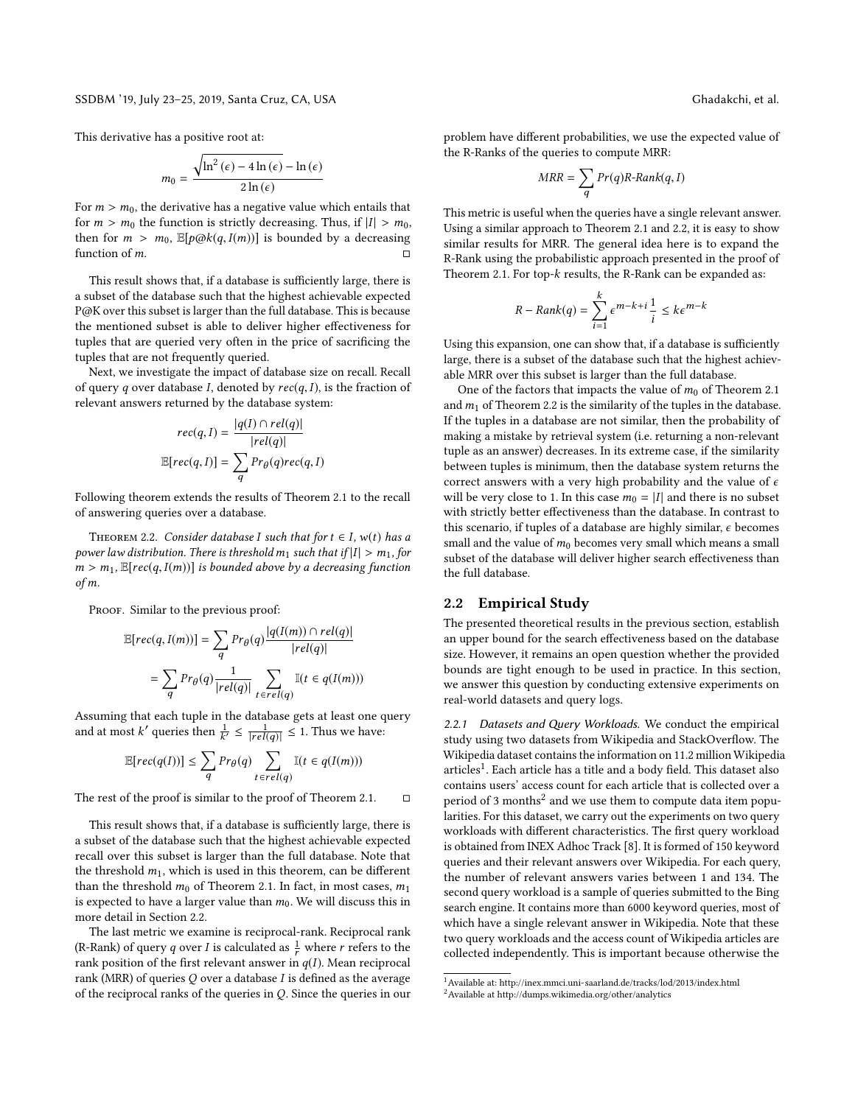This derivative has a positive root at:

$$
m_0 = \frac{\sqrt{\ln^2\left(\epsilon\right) - 4\ln\left(\epsilon\right)} - \ln\left(\epsilon\right)}{2\ln\left(\epsilon\right)}
$$

For  $m > m_0$ , the derivative has a negative value which entails that for  $m > m_0$ , the function is strictly decreasing. Thus, if  $|I| > m_0$ for  $m > m_0$  the function is strictly decreasing. Thus, if  $|I| > m_0$ , then for  $m > m_0$ ,  $\mathbb{E}[p \omega k(q, I(m))]$  is bounded by a decreasing function of  $m$ .

This result shows that, if a database is sufficiently large, there is a subset of the database such that the highest achievable expected P@K over this subset is larger than the full database. This is because the mentioned subset is able to deliver higher effectiveness for tuples that are queried very often in the price of sacrificing the tuples that are not frequently queried.

Next, we investigate the impact of database size on recall. Recall of query q over database I, denoted by  $rec(q, I)$ , is the fraction of relevant answers returned by the database system:

$$
rec(q, I) = \frac{|q(I) \cap rel(q)|}{|rel(q)|}
$$

$$
\mathbb{E}[rec(q, I)] = \sum_{q} Pr_{\theta}(q)rec(q, I)
$$

Following theorem extends the results of Theorem [2.1](#page-2-0) to the recall of answering queries over a database.

<span id="page-3-1"></span>THEOREM 2.2. Consider database I such that for  $t \in I$ ,  $w(t)$  has a power law distribution. There is threshold  $m_1$  such that if  $|I| > m_1$ , for  $m > m_1$ ,  $\mathbb{E}[rec(q, I(m))]$  is bounded above by a decreasing function of m.

PROOF. Similar to the previous proof:

$$
\mathbb{E}[rec(q, I(m))] = \sum_{q} Pr_{\theta}(q) \frac{|q(I(m)) \cap rel(q)|}{|rel(q)|}
$$

$$
= \sum_{q} Pr_{\theta}(q) \frac{1}{|rel(q)|} \sum_{t \in rel(q)} \mathbb{I}(t \in q(I(m)))
$$

Assuming that each tuple in the database gets at least one query and at most k' queries then  $\frac{1}{k'} \leq \frac{1}{|rel(q)|} \leq 1$ . Thus we have:

$$
\mathbb{E}[rec(q(I))] \leq \sum_{q} Pr_{\theta}(q) \sum_{t \in rel(q)} \mathbb{I}(t \in q(I(m)))
$$

The rest of the proof is similar to the proof of Theorem [2.1.](#page-2-0)  $\Box$ 

This result shows that, if a database is sufficiently large, there is a subset of the database such that the highest achievable expected recall over this subset is larger than the full database. Note that the threshold  $m_1$ , which is used in this theorem, can be different than the threshold  $m_0$  of Theorem [2.1.](#page-2-0) In fact, in most cases,  $m_1$ is expected to have a larger value than  $m_0$ . We will discuss this in more detail in Section [2.2.](#page-3-0)

The last metric we examine is reciprocal-rank. Reciprocal rank (R-Rank) of query q over I is calculated as  $\frac{1}{r}$  where r refers to the rank position of the first relevant answer in  $q(I)$ . Mean reciprocal rank position of the first relevant answer in  $q(I)$ . Mean reciprocal rank (MRR) of queries  $Q$  over a database  $I$  is defined as the average of the reciprocal ranks of the queries in Q. Since the queries in our problem have different probabilities, we use the expected value of the R-Ranks of the queries to compute MRR:

$$
MRR = \sum_{q} Pr(q)R\text{-}Rank(q, I)
$$

This metric is useful when the queries have a single relevant answer. Using a similar approach to Theorem [2.1](#page-2-0) and [2.2,](#page-3-1) it is easy to show similar results for MRR. The general idea here is to expand the R-Rank using the probabilistic approach presented in the proof of Theorem [2.1.](#page-2-0) For top-k results, the R-Rank can be expanded as:

$$
R - Rank(q) = \sum_{i=1}^{k} \epsilon^{m-k+i} \frac{1}{i} \le k\epsilon^{m-k}
$$

Using this expansion, one can show that, if a database is sufficiently large, there is a subset of the database such that the highest achievable MRR over this subset is larger than the full database.

One of the factors that impacts the value of  $m_0$  of Theorem [2.1](#page-2-0) and  $m_1$  of Theorem [2.2](#page-3-1) is the similarity of the tuples in the database. If the tuples in a database are not similar, then the probability of making a mistake by retrieval system (i.e. returning a non-relevant tuple as an answer) decreases. In its extreme case, if the similarity between tuples is minimum, then the database system returns the correct answers with a very high probability and the value of  $\epsilon$ will be very close to 1. In this case  $m_0 = |I|$  and there is no subset with strictly better effectiveness than the database. In contrast to this scenario, if tuples of a database are highly similar,  $\epsilon$  becomes small and the value of  $m_0$  becomes very small which means a small subset of the database will deliver higher search effectiveness than the full database.

#### <span id="page-3-0"></span>2.2 Empirical Study

The presented theoretical results in the previous section, establish an upper bound for the search effectiveness based on the database size. However, it remains an open question whether the provided bounds are tight enough to be used in practice. In this section, we answer this question by conducting extensive experiments on real-world datasets and query logs.

2.2.1 Datasets and Query Workloads. We conduct the empirical study using two datasets from Wikipedia and StackOverflow. The Wikipedia dataset contains the information on 11.2 million Wikipedia articles<sup>[1](#page-3-2)</sup>. Each article has a title and a body field. This dataset also contains users' access count for each article that is collected over a  $period$  of 3 months<sup>[2](#page-3-3)</sup> and we use them to compute data item popularities. For this dataset, we carry out the experiments on two query workloads with different characteristics. The first query workload is obtained from INEX Adhoc Track [\[8\]](#page-11-8). It is formed of 150 keyword queries and their relevant answers over Wikipedia. For each query, the number of relevant answers varies between 1 and 134. The second query workload is a sample of queries submitted to the Bing search engine. It contains more than 6000 keyword queries, most of which have a single relevant answer in Wikipedia. Note that these two query workloads and the access count of Wikipedia articles are collected independently. This is important because otherwise the

<span id="page-3-3"></span><span id="page-3-2"></span> $^1$  Available at:<http://inex.mmci.uni-saarland.de/tracks/lod/2013/index.html> <sup>2</sup>Available at<http://dumps.wikimedia.org/other/analytics>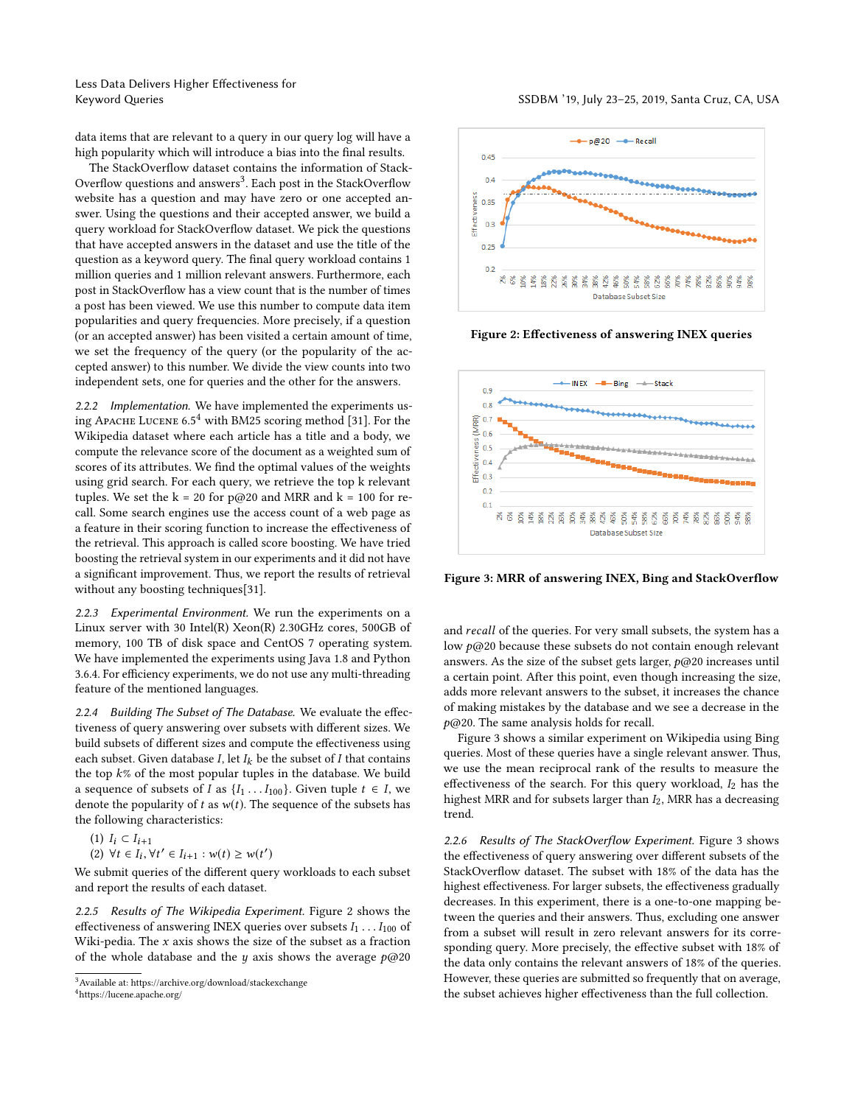Less Data Delivers Higher Effectiveness for

data items that are relevant to a query in our query log will have a high popularity which will introduce a bias into the final results.

The StackOverflow dataset contains the information of Stack-Overflow questions and answers<sup>[3](#page-4-0)</sup>. Each post in the StackOverflow website has a question and may have zero or one accepted answer. Using the questions and their accepted answer, we build a query workload for StackOverflow dataset. We pick the questions that have accepted answers in the dataset and use the title of the question as a keyword query. The final query workload contains 1 million queries and 1 million relevant answers. Furthermore, each post in StackOverflow has a view count that is the number of times a post has been viewed. We use this number to compute data item popularities and query frequencies. More precisely, if a question (or an accepted answer) has been visited a certain amount of time, we set the frequency of the query (or the popularity of the accepted answer) to this number. We divide the view counts into two independent sets, one for queries and the other for the answers.

2.2.2 Implementation. We have implemented the experiments using Apache Lucene  $6.5<sup>4</sup>$  $6.5<sup>4</sup>$  $6.5<sup>4</sup>$  with BM25 scoring method [\[31\]](#page-11-5). For the Wikipedia dataset where each article has a title and a body, we compute the relevance score of the document as a weighted sum of scores of its attributes. We find the optimal values of the weights using grid search. For each query, we retrieve the top k relevant tuples. We set the  $k = 20$  for p@20 and MRR and  $k = 100$  for recall. Some search engines use the access count of a web page as a feature in their scoring function to increase the effectiveness of the retrieval. This approach is called score boosting. We have tried boosting the retrieval system in our experiments and it did not have a significant improvement. Thus, we report the results of retrieval without any boosting techniques[\[31\]](#page-11-5).

2.2.3 Experimental Environment. We run the experiments on a Linux server with 30 Intel(R) Xeon(R) 2.30GHz cores, 500GB of memory, 100 TB of disk space and CentOS 7 operating system. We have implemented the experiments using Java 1.8 and Python 3.6.4. For efficiency experiments, we do not use any multi-threading feature of the mentioned languages.

2.2.4 Building The Subset of The Database. We evaluate the effectiveness of query answering over subsets with different sizes. We build subsets of different sizes and compute the effectiveness using each subset. Given database I, let  $I_k$  be the subset of I that contains the top  $k$ % of the most popular tuples in the database. We build a sequence of subsets of I as  $\{I_1 \ldots I_{100}\}$ . Given tuple  $t \in I$ , we denote the popularity of  $t$  as  $w(t)$ . The sequence of the subsets has the following characteristics:

(1)  $I_i$  ⊂  $I_{i+1}$ 

$$
(2) \ \forall t \in I_i, \forall t' \in I_{i+1} : w(t) \geq w(t')
$$

(2)  $\forall t \in I_i, \forall t' \in I_{i+1} : w(t) \geq w(t')$ <br>We submit queries of the different query workloads to each subset and report the results of each dataset.

2.2.5 Results of The Wikipedia Experiment. Figure [2](#page-4-2) shows the effectiveness of answering INEX queries over subsets  $I_1 \ldots I_{100}$  of Wiki-pedia. The  $x$  axis shows the size of the subset as a fraction of the whole database and the *y* axis shows the average  $p@20$ 

<span id="page-4-2"></span>

Figure 2: Effectiveness of answering INEX queries

<span id="page-4-3"></span>

Figure 3: MRR of answering INEX, Bing and StackOverflow

and recall of the queries. For very small subsets, the system has a low p@20 because these subsets do not contain enough relevant answers. As the size of the subset gets larger,  $p@20$  increases until a certain point. After this point, even though increasing the size, adds more relevant answers to the subset, it increases the chance of making mistakes by the database and we see a decrease in the  $p@20$ . The same analysis holds for recall.

Figure [3](#page-4-3) shows a similar experiment on Wikipedia using Bing queries. Most of these queries have a single relevant answer. Thus, we use the mean reciprocal rank of the results to measure the effectiveness of the search. For this query workload,  $I_2$  has the highest MRR and for subsets larger than  $I_2$ , MRR has a decreasing trend.

2.2.6 Results of The StackOverflow Experiment. Figure [3](#page-4-3) shows the effectiveness of query answering over different subsets of the StackOverflow dataset. The subset with 18% of the data has the highest effectiveness. For larger subsets, the effectiveness gradually decreases. In this experiment, there is a one-to-one mapping between the queries and their answers. Thus, excluding one answer from a subset will result in zero relevant answers for its corresponding query. More precisely, the effective subset with 18% of the data only contains the relevant answers of 18% of the queries. However, these queries are submitted so frequently that on average, the subset achieves higher effectiveness than the full collection.

<span id="page-4-0"></span><sup>3</sup>Available at:<https://archive.org/download/stackexchange>

<span id="page-4-1"></span><sup>4</sup><https://lucene.apache.org/>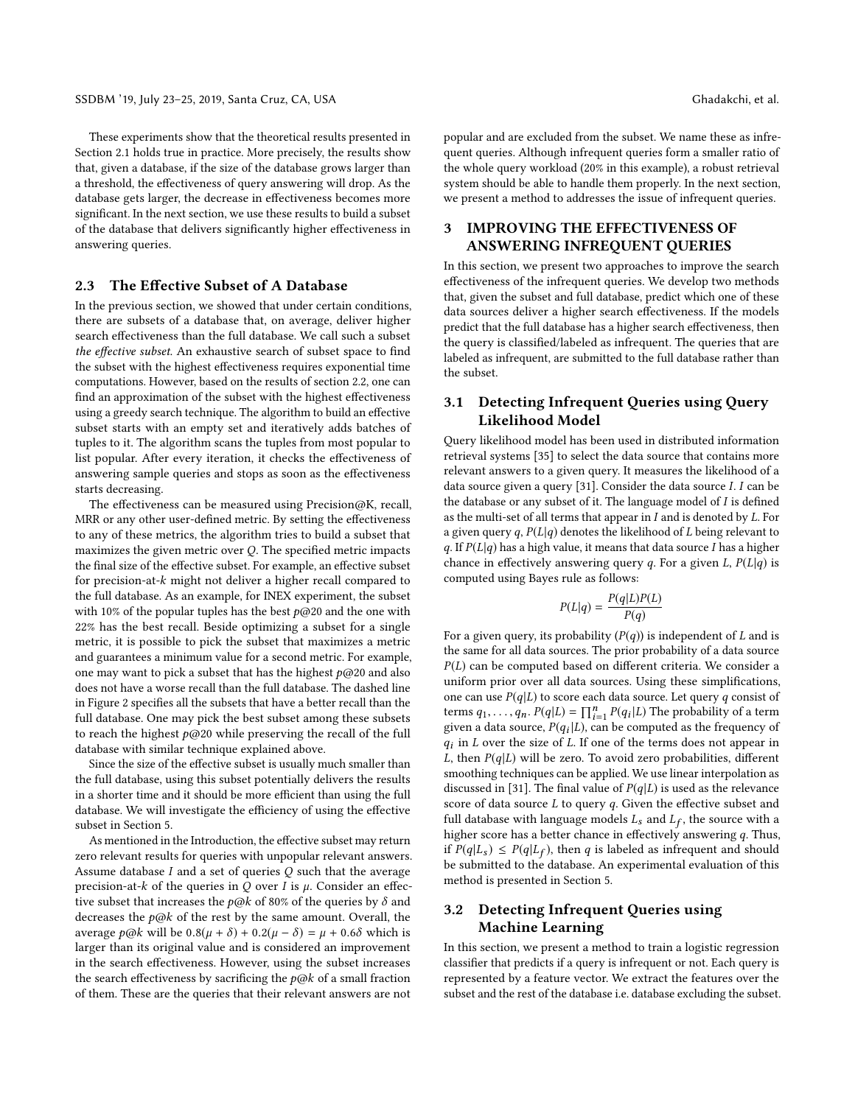These experiments show that the theoretical results presented in Section [2.1](#page-2-1) holds true in practice. More precisely, the results show that, given a database, if the size of the database grows larger than a threshold, the effectiveness of query answering will drop. As the database gets larger, the decrease in effectiveness becomes more significant. In the next section, we use these results to build a subset of the database that delivers significantly higher effectiveness in answering queries.

#### <span id="page-5-0"></span>2.3 The Effective Subset of A Database

In the previous section, we showed that under certain conditions, there are subsets of a database that, on average, deliver higher search effectiveness than the full database. We call such a subset the effective subset. An exhaustive search of subset space to find the subset with the highest effectiveness requires exponential time computations. However, based on the results of section [2.2,](#page-3-0) one can find an approximation of the subset with the highest effectiveness using a greedy search technique. The algorithm to build an effective subset starts with an empty set and iteratively adds batches of tuples to it. The algorithm scans the tuples from most popular to list popular. After every iteration, it checks the effectiveness of answering sample queries and stops as soon as the effectiveness starts decreasing.

The effectiveness can be measured using Precision@K, recall, MRR or any other user-defined metric. By setting the effectiveness to any of these metrics, the algorithm tries to build a subset that maximizes the given metric over Q. The specified metric impacts the final size of the effective subset. For example, an effective subset for precision-at-k might not deliver a higher recall compared to the full database. As an example, for INEX experiment, the subset with 10% of the popular tuples has the best  $p@20$  and the one with 22% has the best recall. Beside optimizing a subset for a single metric, it is possible to pick the subset that maximizes a metric and guarantees a minimum value for a second metric. For example, one may want to pick a subset that has the highest  $p@20$  and also does not have a worse recall than the full database. The dashed line in Figure [2](#page-4-2) specifies all the subsets that have a better recall than the full database. One may pick the best subset among these subsets to reach the highest  $p@20$  while preserving the recall of the full database with similar technique explained above.

Since the size of the effective subset is usually much smaller than the full database, using this subset potentially delivers the results in a shorter time and it should be more efficient than using the full database. We will investigate the efficiency of using the effective subset in Section [5.](#page-8-0)

As mentioned in the Introduction, the effective subset may return zero relevant results for queries with unpopular relevant answers. Assume database  $I$  and a set of queries  $Q$  such that the average precision-at- $k$  of the queries in  $Q$  over  $I$  is  $\mu$ . Consider an effective subset that increases the  $p@k$  of 80% of the queries by  $\delta$  and decreases the  $p@k$  of the rest by the same amount. Overall, the average  $p@k$  will be  $0.8(\mu + \delta) + 0.2(\mu - \delta) = \mu + 0.6\delta$  which is larger than its original value and is considered an improvement in the search effectiveness. However, using the subset increases the search effectiveness by sacrificing the  $p@k$  of a small fraction of them. These are the queries that their relevant answers are not

popular and are excluded from the subset. We name these as infrequent queries. Although infrequent queries form a smaller ratio of the whole query workload (20% in this example), a robust retrieval system should be able to handle them properly. In the next section, we present a method to addresses the issue of infrequent queries.

# <span id="page-5-1"></span>3 IMPROVING THE EFFECTIVENESS OF ANSWERING INFREQUENT QUERIES

In this section, we present two approaches to improve the search effectiveness of the infrequent queries. We develop two methods that, given the subset and full database, predict which one of these data sources deliver a higher search effectiveness. If the models predict that the full database has a higher search effectiveness, then the query is classified/labeled as infrequent. The queries that are labeled as infrequent, are submitted to the full database rather than the subset.

# 3.1 Detecting Infrequent Queries using Query Likelihood Model

Query likelihood model has been used in distributed information retrieval systems [\[35\]](#page-11-15) to select the data source that contains more relevant answers to a given query. It measures the likelihood of a data source given a query [\[31\]](#page-11-5). Consider the data source I. I can be the database or any subset of it. The language model of  $I$  is defined as the multi-set of all terms that appear in  $I$  and is denoted by  $L$ . For a given query q,  $P(L|q)$  denotes the likelihood of L being relevant to q. If  $P(L|q)$  has a high value, it means that data source I has a higher chance in effectively answering query q. For a given L,  $P(L|q)$  is computed using Bayes rule as follows:

$$
P(L|q) = \frac{P(q|L)P(L)}{P(q)}
$$

For a given query, its probability  $(P(q))$  is independent of L and is<br>the same for all data sources. The prior probability of a data source the same for all data sources. The prior probability of a data source  $P(L)$  can be computed based on different criteria. We consider a uniform prior over all data sources. Using these simplifications, one can use  $P(q|L)$  to score each data source. Let query  $q$  consist of terms  $q_1, \ldots, q_n$ .  $P(q|L) = \prod_{i=1}^n P(q_i|L)$  The probability of a term<br>given a data source  $P(a_i|L)$  can be computed as the frequency of given a data source,  $P(q_i|L)$ , can be computed as the frequency of  $q_i$ , in  $L$  over the size of  $L$ . If one of the terms does not appear in  $\overline{L}$ , then  $P(q|L)$  will be zero. To avoid zero probabilities, different<br>smoothing techniques can be applied. We use linear interpolation as  $q_i$  in  $L$  over the size of  $L$ . If one of the terms does not appear in smoothing techniques can be applied. We use linear interpolation as discussed in [\[31\]](#page-11-5). The final value of  $P(q|L)$  is used as the relevance score of data source  $L$  to query  $q$ . Given the effective subset and full database with language models  $L_s$  and  $L_f$ , the source with a higher score has a better chance in effectively answering a Thus higher score has a better chance in effectively answering q. Thus, if  $P(q|L_s) \leq P(q|L_f)$ , then q is labeled as infrequent and should<br>be submitted to the database. An experimental evaluation of this be submitted to the database. An experimental evaluation of this method is presented in Section [5.](#page-8-0)

# 3.2 Detecting Infrequent Queries using Machine Learning

In this section, we present a method to train a logistic regression classifier that predicts if a query is infrequent or not. Each query is represented by a feature vector. We extract the features over the subset and the rest of the database i.e. database excluding the subset.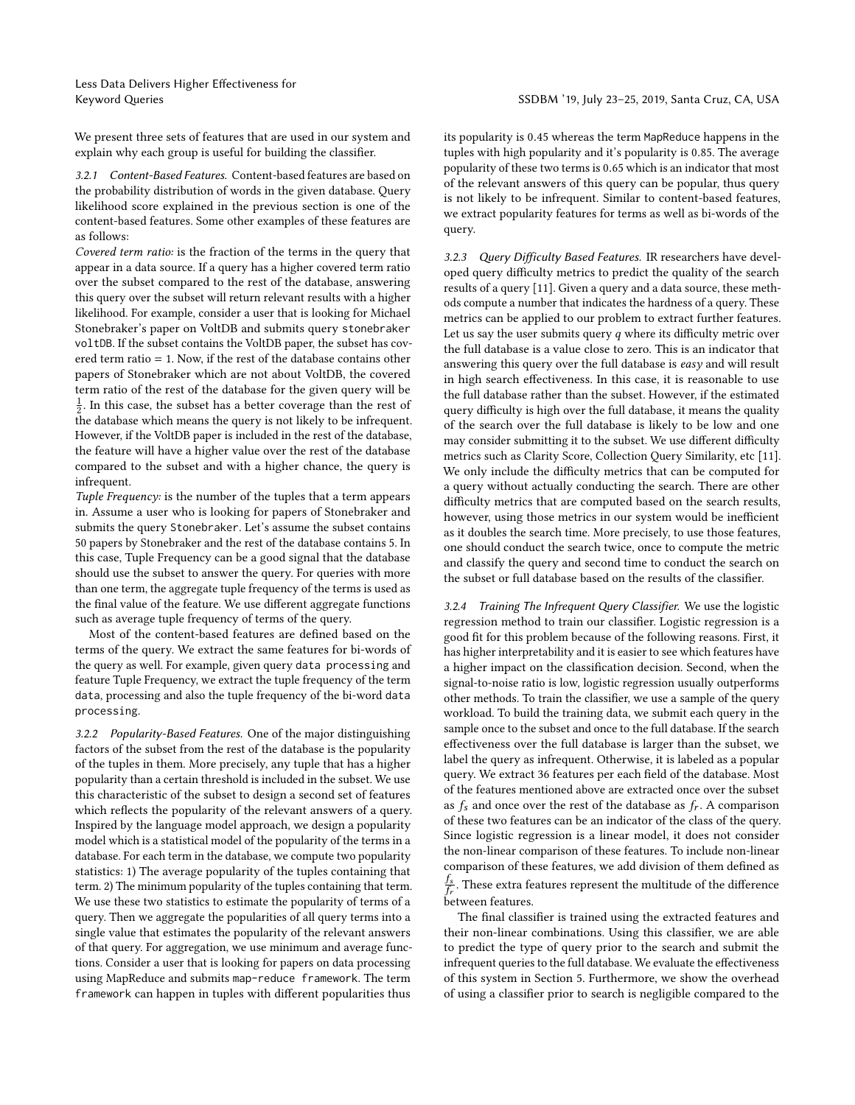We present three sets of features that are used in our system and explain why each group is useful for building the classifier.

3.2.1 Content-Based Features. Content-based features are based on the probability distribution of words in the given database. Query likelihood score explained in the previous section is one of the content-based features. Some other examples of these features are as follows:

Covered term ratio: is the fraction of the terms in the query that appear in a data source. If a query has a higher covered term ratio over the subset compared to the rest of the database, answering this query over the subset will return relevant results with a higher likelihood. For example, consider a user that is looking for Michael Stonebraker's paper on VoltDB and submits query stonebraker voltDB. If the subset contains the VoltDB paper, the subset has covered term ratio = 1. Now, if the rest of the database contains other papers of Stonebraker which are not about VoltDB, the covered term ratio of the rest of the database for the given query will be  $\frac{1}{2}$ . In this case, the subset has a better coverage than the rest of the database which means the query is not likely to be infrequent. However, if the VoltDB paper is included in the rest of the database, the feature will have a higher value over the rest of the database compared to the subset and with a higher chance, the query is infrequent.

Tuple Frequency: is the number of the tuples that a term appears in. Assume a user who is looking for papers of Stonebraker and submits the query Stonebraker. Let's assume the subset contains 50 papers by Stonebraker and the rest of the database contains 5. In this case, Tuple Frequency can be a good signal that the database should use the subset to answer the query. For queries with more than one term, the aggregate tuple frequency of the terms is used as the final value of the feature. We use different aggregate functions such as average tuple frequency of terms of the query.

Most of the content-based features are defined based on the terms of the query. We extract the same features for bi-words of the query as well. For example, given query data processing and feature Tuple Frequency, we extract the tuple frequency of the term data, processing and also the tuple frequency of the bi-word data processing.

3.2.2 Popularity-Based Features. One of the major distinguishing factors of the subset from the rest of the database is the popularity of the tuples in them. More precisely, any tuple that has a higher popularity than a certain threshold is included in the subset. We use this characteristic of the subset to design a second set of features which reflects the popularity of the relevant answers of a query. Inspired by the language model approach, we design a popularity model which is a statistical model of the popularity of the terms in a database. For each term in the database, we compute two popularity statistics: 1) The average popularity of the tuples containing that term. 2) The minimum popularity of the tuples containing that term. We use these two statistics to estimate the popularity of terms of a query. Then we aggregate the popularities of all query terms into a single value that estimates the popularity of the relevant answers of that query. For aggregation, we use minimum and average functions. Consider a user that is looking for papers on data processing using MapReduce and submits map-reduce framework. The term framework can happen in tuples with different popularities thus

its popularity is <sup>0</sup>.<sup>45</sup> whereas the term MapReduce happens in the tuples with high popularity and it's popularity is <sup>0</sup>.85. The average popularity of these two terms is <sup>0</sup>.<sup>65</sup> which is an indicator that most of the relevant answers of this query can be popular, thus query is not likely to be infrequent. Similar to content-based features, we extract popularity features for terms as well as bi-words of the query.

3.2.3 Query Difficulty Based Features. IR researchers have developed query difficulty metrics to predict the quality of the search results of a query [\[11\]](#page-11-16). Given a query and a data source, these methods compute a number that indicates the hardness of a query. These metrics can be applied to our problem to extract further features. Let us say the user submits query  $q$  where its difficulty metric over the full database is a value close to zero. This is an indicator that answering this query over the full database is easy and will result in high search effectiveness. In this case, it is reasonable to use the full database rather than the subset. However, if the estimated query difficulty is high over the full database, it means the quality of the search over the full database is likely to be low and one may consider submitting it to the subset. We use different difficulty metrics such as Clarity Score, Collection Query Similarity, etc [\[11\]](#page-11-16). We only include the difficulty metrics that can be computed for a query without actually conducting the search. There are other difficulty metrics that are computed based on the search results, however, using those metrics in our system would be inefficient as it doubles the search time. More precisely, to use those features, one should conduct the search twice, once to compute the metric and classify the query and second time to conduct the search on the subset or full database based on the results of the classifier.

3.2.4 Training The Infrequent Query Classifier. We use the logistic regression method to train our classifier. Logistic regression is a good fit for this problem because of the following reasons. First, it has higher interpretability and it is easier to see which features have a higher impact on the classification decision. Second, when the signal-to-noise ratio is low, logistic regression usually outperforms other methods. To train the classifier, we use a sample of the query workload. To build the training data, we submit each query in the sample once to the subset and once to the full database. If the search effectiveness over the full database is larger than the subset, we label the query as infrequent. Otherwise, it is labeled as a popular query. We extract 36 features per each field of the database. Most of the features mentioned above are extracted once over the subset as  $f_s$  and once over the rest of the database as  $f_r$ . A comparison of these two features can be an indicator of the class of the query. Since logistic regression is a linear model, it does not consider the non-linear comparison of these features. To include non-linear comparison of these features, we add division of them defined as  $\frac{f_s}{f}$ . These extra features represent the multitude of the difference ,,,<br>between features.

The final classifier is trained using the extracted features and their non-linear combinations. Using this classifier, we are able to predict the type of query prior to the search and submit the infrequent queries to the full database. We evaluate the effectiveness of this system in Section [5.](#page-8-0) Furthermore, we show the overhead of using a classifier prior to search is negligible compared to the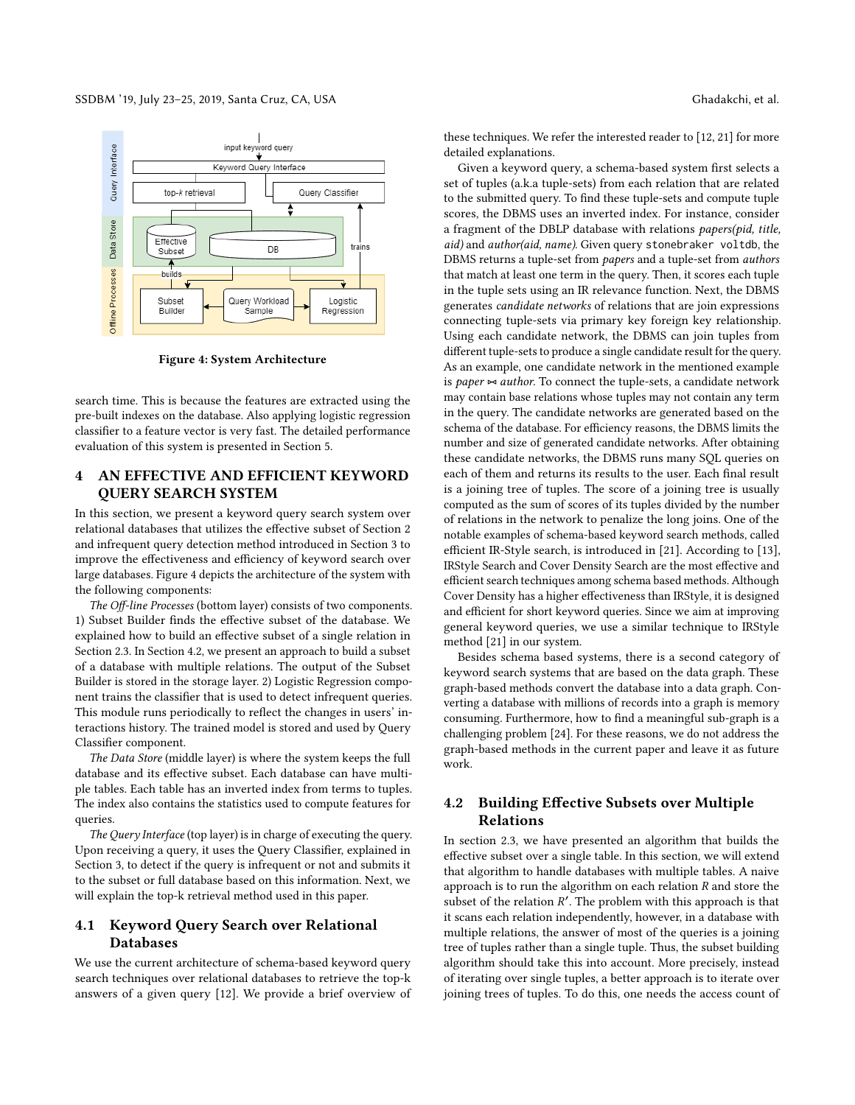<span id="page-7-2"></span>

Figure 4: System Architecture

search time. This is because the features are extracted using the pre-built indexes on the database. Also applying logistic regression classifier to a feature vector is very fast. The detailed performance evaluation of this system is presented in Section [5.](#page-8-0)

# <span id="page-7-0"></span>4 AN EFFECTIVE AND EFFICIENT KEYWORD QUERY SEARCH SYSTEM

In this section, we present a keyword query search system over relational databases that utilizes the effective subset of Section [2](#page-1-1) and infrequent query detection method introduced in Section [3](#page-5-1) to improve the effectiveness and efficiency of keyword search over large databases. Figure [4](#page-7-2) depicts the architecture of the system with the following components:

The Off-line Processes (bottom layer) consists of two components. 1) Subset Builder finds the effective subset of the database. We explained how to build an effective subset of a single relation in Section [2.3.](#page-5-0) In Section [4.2,](#page-7-1) we present an approach to build a subset of a database with multiple relations. The output of the Subset Builder is stored in the storage layer. 2) Logistic Regression component trains the classifier that is used to detect infrequent queries. This module runs periodically to reflect the changes in users' interactions history. The trained model is stored and used by Query Classifier component.

The Data Store (middle layer) is where the system keeps the full database and its effective subset. Each database can have multiple tables. Each table has an inverted index from terms to tuples. The index also contains the statistics used to compute features for queries.

The Query Interface (top layer) is in charge of executing the query. Upon receiving a query, it uses the Query Classifier, explained in Section [3,](#page-5-1) to detect if the query is infrequent or not and submits it to the subset or full database based on this information. Next, we will explain the top-k retrieval method used in this paper.

## 4.1 Keyword Query Search over Relational Databases

We use the current architecture of schema-based keyword query search techniques over relational databases to retrieve the top-k answers of a given query [\[12\]](#page-11-3). We provide a brief overview of

these techniques. We refer the interested reader to [\[12,](#page-11-3) [21\]](#page-11-17) for more detailed explanations.

Given a keyword query, a schema-based system first selects a set of tuples (a.k.a tuple-sets) from each relation that are related to the submitted query. To find these tuple-sets and compute tuple scores, the DBMS uses an inverted index. For instance, consider a fragment of the DBLP database with relations papers(pid, title, aid) and author(aid, name). Given query stonebraker voltdb, the DBMS returns a tuple-set from papers and a tuple-set from authors that match at least one term in the query. Then, it scores each tuple in the tuple sets using an IR relevance function. Next, the DBMS generates candidate networks of relations that are join expressions connecting tuple-sets via primary key foreign key relationship. Using each candidate network, the DBMS can join tuples from different tuple-sets to produce a single candidate result for the query. As an example, one candidate network in the mentioned example is paper  $\sim$  author. To connect the tuple-sets, a candidate network may contain base relations whose tuples may not contain any term in the query. The candidate networks are generated based on the schema of the database. For efficiency reasons, the DBMS limits the number and size of generated candidate networks. After obtaining these candidate networks, the DBMS runs many SQL queries on each of them and returns its results to the user. Each final result is a joining tree of tuples. The score of a joining tree is usually computed as the sum of scores of its tuples divided by the number of relations in the network to penalize the long joins. One of the notable examples of schema-based keyword search methods, called efficient IR-Style search, is introduced in [\[21\]](#page-11-17). According to [\[13\]](#page-11-18), IRStyle Search and Cover Density Search are the most effective and efficient search techniques among schema based methods. Although Cover Density has a higher effectiveness than IRStyle, it is designed and efficient for short keyword queries. Since we aim at improving general keyword queries, we use a similar technique to IRStyle method [\[21\]](#page-11-17) in our system.

Besides schema based systems, there is a second category of keyword search systems that are based on the data graph. These graph-based methods convert the database into a data graph. Converting a database with millions of records into a graph is memory consuming. Furthermore, how to find a meaningful sub-graph is a challenging problem [\[24\]](#page-11-19). For these reasons, we do not address the graph-based methods in the current paper and leave it as future work.

# <span id="page-7-1"></span>4.2 Building Effective Subsets over Multiple Relations

In section [2.3,](#page-5-0) we have presented an algorithm that builds the effective subset over a single table. In this section, we will extend that algorithm to handle databases with multiple tables. A naive approach is to run the algorithm on each relation  $R$  and store the subset of the relation  $R'$ . The problem with this approach is that it scans each relation independently however in a database with it scans each relation independently, however, in a database with multiple relations, the answer of most of the queries is a joining tree of tuples rather than a single tuple. Thus, the subset building algorithm should take this into account. More precisely, instead of iterating over single tuples, a better approach is to iterate over joining trees of tuples. To do this, one needs the access count of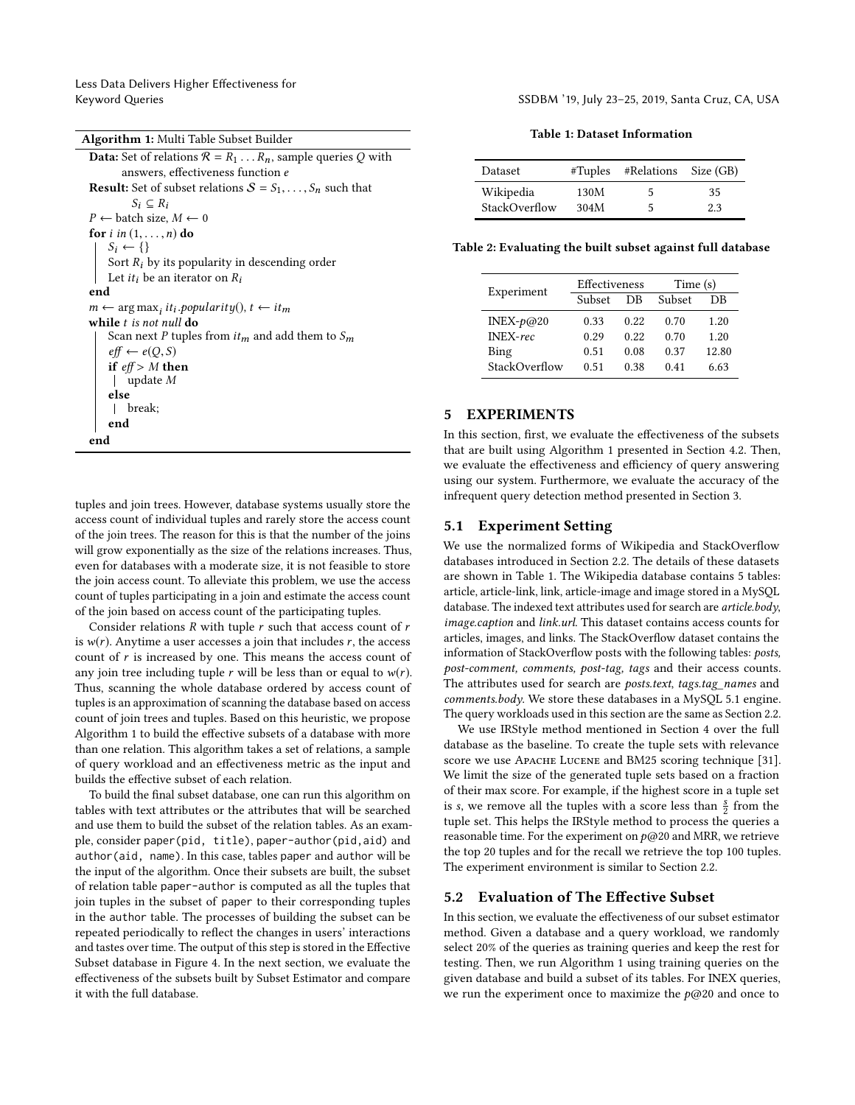Less Data Delivers Higher Effectiveness for

| <b>Algorithm 1:</b> Multi Table Subset Builder                            |
|---------------------------------------------------------------------------|
| <b>Data:</b> Set of relations $R = R_1 \dots R_n$ , sample queries Q with |
| answers, effectiveness function e                                         |
| <b>Result:</b> Set of subset relations $S = S_1, \ldots, S_n$ such that   |
| $S_i \subseteq R_i$                                                       |
| $P \leftarrow$ batch size, $M \leftarrow 0$                               |
| for i in $(1,\ldots,n)$ do                                                |
| $S_i \leftarrow \{\}$                                                     |
| Sort $R_i$ by its popularity in descending order                          |
| Let <i>it<sub>i</sub></i> be an iterator on $R_i$                         |
| end                                                                       |
| $m \leftarrow \arg \max_i it_i.\text{popularity}(), t \leftarrow it_m$    |
| while $t$ is not null do                                                  |
| Scan next P tuples from $it_m$ and add them to $S_m$                      |
| $\text{eff} \leftarrow \text{e}(Q, S)$                                    |
| if $\textit{eff} > M$ then                                                |
| update $M$                                                                |
| else                                                                      |
| break:                                                                    |
| end                                                                       |
| end                                                                       |

<span id="page-8-1"></span>tuples and join trees. However, database systems usually store the access count of individual tuples and rarely store the access count of the join trees. The reason for this is that the number of the joins will grow exponentially as the size of the relations increases. Thus, even for databases with a moderate size, it is not feasible to store the join access count. To alleviate this problem, we use the access count of tuples participating in a join and estimate the access count of the join based on access count of the participating tuples.

Consider relations  $R$  with tuple  $r$  such that access count of  $r$ is  $w(r)$ . Anytime a user accesses a join that includes r, the access count of  $r$  is increased by one. This means the access count of any join tree including tuple  $r$  will be less than or equal to  $w(r)$ . Thus, scanning the whole database ordered by access count of tuples is an approximation of scanning the database based on access count of join trees and tuples. Based on this heuristic, we propose Algorithm [1](#page-8-1) to build the effective subsets of a database with more than one relation. This algorithm takes a set of relations, a sample of query workload and an effectiveness metric as the input and builds the effective subset of each relation.

To build the final subset database, one can run this algorithm on tables with text attributes or the attributes that will be searched and use them to build the subset of the relation tables. As an example, consider paper(pid, title), paper-author(pid,aid) and author(aid, name). In this case, tables paper and author will be the input of the algorithm. Once their subsets are built, the subset of relation table paper-author is computed as all the tuples that join tuples in the subset of paper to their corresponding tuples in the author table. The processes of building the subset can be repeated periodically to reflect the changes in users' interactions and tastes over time. The output of this step is stored in the Effective Subset database in Figure [4.](#page-7-2) In the next section, we evaluate the effectiveness of the subsets built by Subset Estimator and compare it with the full database.

Keyword Queries SSDBM '19, July 23-25, 2019, Santa Cruz, CA, USA

Table 1: Dataset Information

<span id="page-8-2"></span>

| <b>Dataset</b> |      | #Tuples #Relations | Size (GB) |
|----------------|------|--------------------|-----------|
| Wikipedia      | 130M | 5                  | 35        |
| StackOverflow  | 304M | 5                  | 23        |

<span id="page-8-3"></span>Table 2: Evaluating the built subset against full database

| Experiment    | Effectiveness |      | Time (s) |       |
|---------------|---------------|------|----------|-------|
|               | Subset        | DВ   | Subset   | DВ    |
| INEX- $p@20$  | 0.33          | 0.22 | 0.70     | 1.20  |
| $INEX-rec$    | 0.29          | 0.22 | 0.70     | 1.20  |
| Bing          | 0.51          | 0.08 | 0.37     | 12.80 |
| StackOverflow | 0.51          | 0.38 | 0.41     | 6.63  |

# <span id="page-8-0"></span>5 EXPERIMENTS

In this section, first, we evaluate the effectiveness of the subsets that are built using Algorithm [1](#page-8-1) presented in Section [4.2.](#page-7-1) Then, we evaluate the effectiveness and efficiency of query answering using our system. Furthermore, we evaluate the accuracy of the infrequent query detection method presented in Section [3.](#page-5-1)

#### 5.1 Experiment Setting

We use the normalized forms of Wikipedia and StackOverflow databases introduced in Section [2.2.](#page-3-0) The details of these datasets are shown in Table [1.](#page-8-2) The Wikipedia database contains 5 tables: article, article-link, link, article-image and image stored in a MySQL database. The indexed text attributes used for search are article.body, image.caption and link.url. This dataset contains access counts for articles, images, and links. The StackOverflow dataset contains the information of StackOverflow posts with the following tables: posts, post-comment, comments, post-tag, tags and their access counts. The attributes used for search are posts.text, tags.tag\_names and comments.body. We store these databases in a MySQL 5.1 engine. The query workloads used in this section are the same as Section [2.2.](#page-3-0)

We use IRStyle method mentioned in Section [4](#page-7-0) over the full database as the baseline. To create the tuple sets with relevance score we use APACHE LUCENE and BM25 scoring technique [\[31\]](#page-11-5). We limit the size of the generated tuple sets based on a fraction of their max score. For example, if the highest score in a tuple set is s, we remove all the tuples with a score less than  $\frac{5}{2}$  from the tuple set. This helps the IPStyle method to process the queries a tuple set. This helps the IRStyle method to process the queries a reasonable time. For the experiment on  $p@20$  and MRR, we retrieve the top 20 tuples and for the recall we retrieve the top 100 tuples. The experiment environment is similar to Section [2.2.](#page-3-0)

#### 5.2 Evaluation of The Effective Subset

In this section, we evaluate the effectiveness of our subset estimator method. Given a database and a query workload, we randomly select 20% of the queries as training queries and keep the rest for testing. Then, we run Algorithm [1](#page-8-1) using training queries on the given database and build a subset of its tables. For INEX queries, we run the experiment once to maximize the  $p@20$  and once to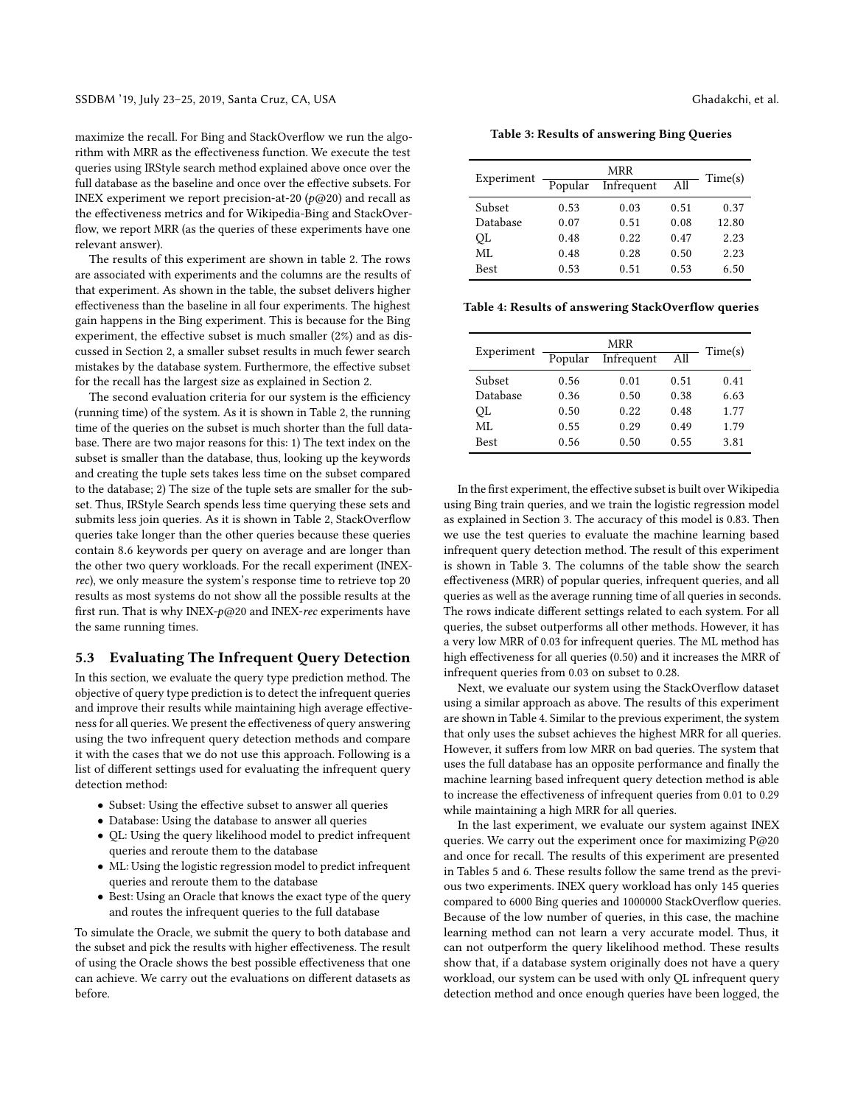maximize the recall. For Bing and StackOverflow we run the algorithm with MRR as the effectiveness function. We execute the test queries using IRStyle search method explained above once over the full database as the baseline and once over the effective subsets. For INEX experiment we report precision-at-20 ( $p@20$ ) and recall as the effectiveness metrics and for Wikipedia-Bing and StackOverflow, we report MRR (as the queries of these experiments have one relevant answer).

The results of this experiment are shown in table [2.](#page-8-3) The rows are associated with experiments and the columns are the results of that experiment. As shown in the table, the subset delivers higher effectiveness than the baseline in all four experiments. The highest gain happens in the Bing experiment. This is because for the Bing experiment, the effective subset is much smaller (2%) and as discussed in Section [2,](#page-1-1) a smaller subset results in much fewer search mistakes by the database system. Furthermore, the effective subset for the recall has the largest size as explained in Section [2.](#page-1-1)

The second evaluation criteria for our system is the efficiency (running time) of the system. As it is shown in Table [2,](#page-8-3) the running time of the queries on the subset is much shorter than the full database. There are two major reasons for this: 1) The text index on the subset is smaller than the database, thus, looking up the keywords and creating the tuple sets takes less time on the subset compared to the database; 2) The size of the tuple sets are smaller for the subset. Thus, IRStyle Search spends less time querying these sets and submits less join queries. As it is shown in Table [2,](#page-8-3) StackOverflow queries take longer than the other queries because these queries contain <sup>8</sup>.<sup>6</sup> keywords per query on average and are longer than the other two query workloads. For the recall experiment (INEXrec), we only measure the system's response time to retrieve top 20 results as most systems do not show all the possible results at the first run. That is why INEX- $p@20$  and INEX-rec experiments have the same running times.

#### 5.3 Evaluating The Infrequent Query Detection

In this section, we evaluate the query type prediction method. The objective of query type prediction is to detect the infrequent queries and improve their results while maintaining high average effectiveness for all queries. We present the effectiveness of query answering using the two infrequent query detection methods and compare it with the cases that we do not use this approach. Following is a list of different settings used for evaluating the infrequent query detection method:

- Subset: Using the effective subset to answer all queries
- Database: Using the database to answer all queries
- QL: Using the query likelihood model to predict infrequent queries and reroute them to the database
- ML: Using the logistic regression model to predict infrequent queries and reroute them to the database
- Best: Using an Oracle that knows the exact type of the query and routes the infrequent queries to the full database

To simulate the Oracle, we submit the query to both database and the subset and pick the results with higher effectiveness. The result of using the Oracle shows the best possible effectiveness that one can achieve. We carry out the evaluations on different datasets as before.

<span id="page-9-0"></span>Table 3: Results of answering Bing Queries

| Experiment  |         | Time(s)    |      |       |
|-------------|---------|------------|------|-------|
|             | Popular | Infrequent | A11  |       |
| Subset      | 0.53    | 0.03       | 0.51 | 0.37  |
| Database    | 0.07    | 0.51       | 0.08 | 12.80 |
| QL          | 0.48    | 0.22       | 0.47 | 2.23  |
| ML          | 0.48    | 0.28       | 0.50 | 2.23  |
| <b>Best</b> | 0.53    | 0.51       | 0.53 | 6.50  |

<span id="page-9-1"></span>Table 4: Results of answering StackOverflow queries

| Experiment  |         | Time(s)    |      |      |
|-------------|---------|------------|------|------|
|             | Popular | Infrequent | A11  |      |
| Subset      | 0.56    | 0.01       | 0.51 | 0.41 |
| Database    | 0.36    | 0.50       | 0.38 | 6.63 |
| OL          | 0.50    | 0.22       | 0.48 | 1.77 |
| ML          | 0.55    | 0.29       | 0.49 | 1.79 |
| <b>Best</b> | 0.56    | 0.50       | 0.55 | 3.81 |

In the first experiment, the effective subset is built over Wikipedia using Bing train queries, and we train the logistic regression model as explained in Section [3.](#page-5-1) The accuracy of this model is 0.83. Then we use the test queries to evaluate the machine learning based infrequent query detection method. The result of this experiment is shown in Table [3.](#page-9-0) The columns of the table show the search effectiveness (MRR) of popular queries, infrequent queries, and all queries as well as the average running time of all queries in seconds. The rows indicate different settings related to each system. For all queries, the subset outperforms all other methods. However, it has a very low MRR of 0.03 for infrequent queries. The ML method has high effectiveness for all queries (0.50) and it increases the MRR of infrequent queries from 0.03 on subset to 0.28.

Next, we evaluate our system using the StackOverflow dataset using a similar approach as above. The results of this experiment are shown in Table [4.](#page-9-1) Similar to the previous experiment, the system that only uses the subset achieves the highest MRR for all queries. However, it suffers from low MRR on bad queries. The system that uses the full database has an opposite performance and finally the machine learning based infrequent query detection method is able to increase the effectiveness of infrequent queries from 0.01 to 0.29 while maintaining a high MRR for all queries.

In the last experiment, we evaluate our system against INEX queries. We carry out the experiment once for maximizing P@20 and once for recall. The results of this experiment are presented in Tables [5](#page-10-0) and [6.](#page-10-1) These results follow the same trend as the previous two experiments. INEX query workload has only 145 queries compared to 6000 Bing queries and 1000000 StackOverflow queries. Because of the low number of queries, in this case, the machine learning method can not learn a very accurate model. Thus, it can not outperform the query likelihood method. These results show that, if a database system originally does not have a query workload, our system can be used with only QL infrequent query detection method and once enough queries have been logged, the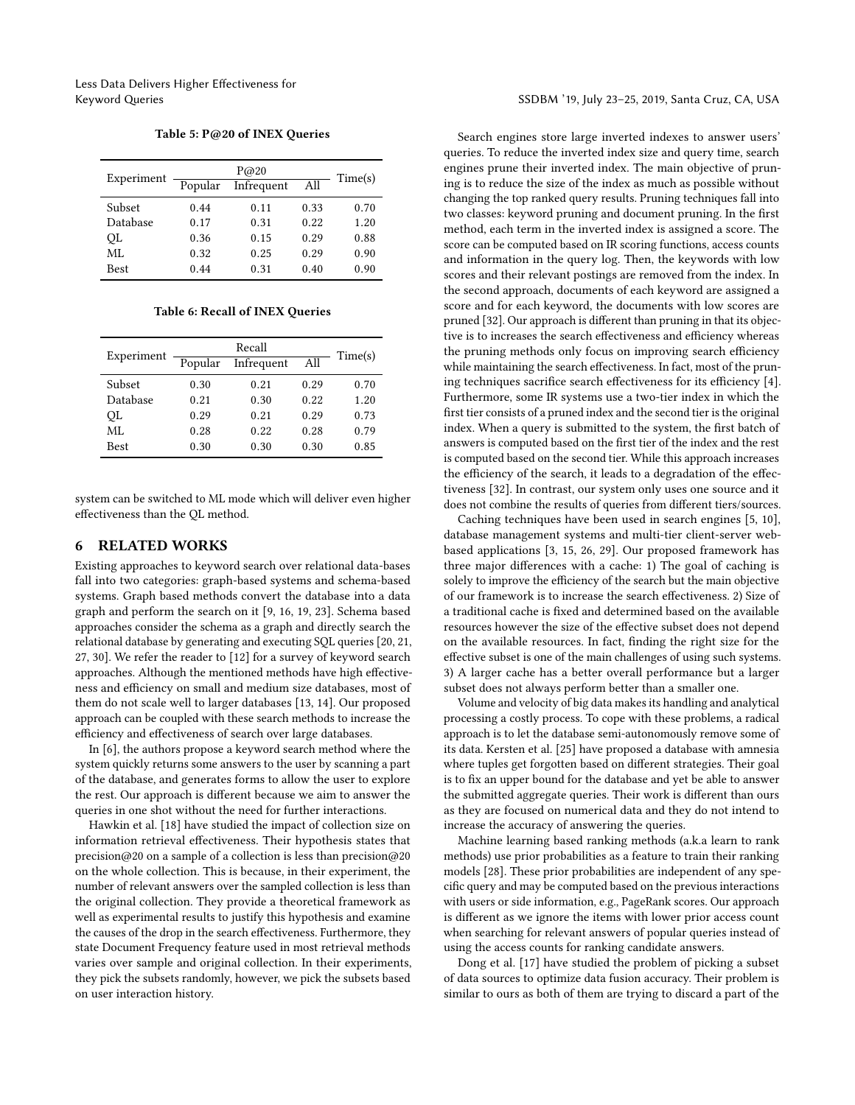<span id="page-10-0"></span>Less Data Delivers Higher Effectiveness for Keyword Queries SSDBM '19, July 23-25, 2019, Santa Cruz, CA, USA

| Experiment  |         | Time(s)    |      |      |
|-------------|---------|------------|------|------|
|             | Popular | Infrequent | A11  |      |
| Subset      | 0.44    | 0.11       | 0.33 | 0.70 |
| Database    | 0.17    | 0.31       | 0.22 | 1.20 |
| QL          | 0.36    | 0.15       | 0.29 | 0.88 |
| ML          | 0.32    | 0.25       | 0.29 | 0.90 |
| <b>Best</b> | 0.44    | 0.31       | 0.40 | 0.90 |
|             |         |            |      |      |

#### Table 5: P@20 of INEX Queries

#### Table 6: Recall of INEX Queries

<span id="page-10-1"></span>

| Experiment  | Popular | Recall<br>Infrequent | A11  | Time(s) |
|-------------|---------|----------------------|------|---------|
| Subset      | 0.30    | 0.21                 | 0.29 | 0.70    |
| Database    | 0.21    | 0.30                 | 0.22 | 1.20    |
| OL          | 0.29    | 0.21                 | 0.29 | 0.73    |
| ML          | 0.28    | 0.22                 | 0.28 | 0.79    |
| <b>Best</b> | 0.30    | 0.30                 | 0.30 | 0.85    |

system can be switched to ML mode which will deliver even higher effectiveness than the QL method.

#### 6 RELATED WORKS

Existing approaches to keyword search over relational data-bases fall into two categories: graph-based systems and schema-based systems. Graph based methods convert the database into a data graph and perform the search on it [\[9,](#page-11-2) [16,](#page-11-20) [19,](#page-11-21) [23\]](#page-11-22). Schema based approaches consider the schema as a graph and directly search the relational database by generating and executing SQL queries [\[20,](#page-11-4) [21,](#page-11-17) [27,](#page-11-23) [30\]](#page-11-24). We refer the reader to [\[12\]](#page-11-3) for a survey of keyword search approaches. Although the mentioned methods have high effectiveness and efficiency on small and medium size databases, most of them do not scale well to larger databases [\[13,](#page-11-18) [14\]](#page-11-9). Our proposed approach can be coupled with these search methods to increase the efficiency and effectiveness of search over large databases.

In [\[6\]](#page-11-10), the authors propose a keyword search method where the system quickly returns some answers to the user by scanning a part of the database, and generates forms to allow the user to explore the rest. Our approach is different because we aim to answer the queries in one shot without the need for further interactions.

Hawkin et al. [\[18\]](#page-11-25) have studied the impact of collection size on information retrieval effectiveness. Their hypothesis states that precision@20 on a sample of a collection is less than precision@20 on the whole collection. This is because, in their experiment, the number of relevant answers over the sampled collection is less than the original collection. They provide a theoretical framework as well as experimental results to justify this hypothesis and examine the causes of the drop in the search effectiveness. Furthermore, they state Document Frequency feature used in most retrieval methods varies over sample and original collection. In their experiments, they pick the subsets randomly, however, we pick the subsets based on user interaction history.

Search engines store large inverted indexes to answer users' queries. To reduce the inverted index size and query time, search engines prune their inverted index. The main objective of pruning is to reduce the size of the index as much as possible without changing the top ranked query results. Pruning techniques fall into two classes: keyword pruning and document pruning. In the first method, each term in the inverted index is assigned a score. The score can be computed based on IR scoring functions, access counts and information in the query log. Then, the keywords with low scores and their relevant postings are removed from the index. In the second approach, documents of each keyword are assigned a score and for each keyword, the documents with low scores are pruned [\[32\]](#page-11-26). Our approach is different than pruning in that its objective is to increases the search effectiveness and efficiency whereas the pruning methods only focus on improving search efficiency while maintaining the search effectiveness. In fact, most of the pruning techniques sacrifice search effectiveness for its efficiency [\[4\]](#page-11-27). Furthermore, some IR systems use a two-tier index in which the first tier consists of a pruned index and the second tier is the original index. When a query is submitted to the system, the first batch of answers is computed based on the first tier of the index and the rest is computed based on the second tier. While this approach increases the efficiency of the search, it leads to a degradation of the effectiveness [\[32\]](#page-11-26). In contrast, our system only uses one source and it does not combine the results of queries from different tiers/sources.

Caching techniques have been used in search engines [\[5,](#page-11-28) [10\]](#page-11-29), database management systems and multi-tier client-server webbased applications [\[3,](#page-11-30) [15,](#page-11-31) [26,](#page-11-32) [29\]](#page-11-33). Our proposed framework has three major differences with a cache: 1) The goal of caching is solely to improve the efficiency of the search but the main objective of our framework is to increase the search effectiveness. 2) Size of a traditional cache is fixed and determined based on the available resources however the size of the effective subset does not depend on the available resources. In fact, finding the right size for the effective subset is one of the main challenges of using such systems. 3) A larger cache has a better overall performance but a larger subset does not always perform better than a smaller one.

Volume and velocity of big data makes its handling and analytical processing a costly process. To cope with these problems, a radical approach is to let the database semi-autonomously remove some of its data. Kersten et al. [\[25\]](#page-11-34) have proposed a database with amnesia where tuples get forgotten based on different strategies. Their goal is to fix an upper bound for the database and yet be able to answer the submitted aggregate queries. Their work is different than ours as they are focused on numerical data and they do not intend to increase the accuracy of answering the queries.

Machine learning based ranking methods (a.k.a learn to rank methods) use prior probabilities as a feature to train their ranking models [\[28\]](#page-11-35). These prior probabilities are independent of any specific query and may be computed based on the previous interactions with users or side information, e.g., PageRank scores. Our approach is different as we ignore the items with lower prior access count when searching for relevant answers of popular queries instead of using the access counts for ranking candidate answers.

Dong et al. [\[17\]](#page-11-36) have studied the problem of picking a subset of data sources to optimize data fusion accuracy. Their problem is similar to ours as both of them are trying to discard a part of the